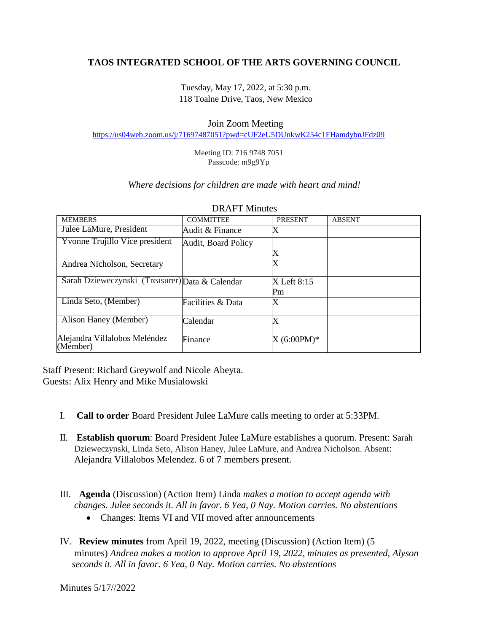# **TAOS INTEGRATED SCHOOL OF THE ARTS GOVERNING COUNCIL**

Tuesday, May 17, 2022, at 5:30 p.m. 118 Toalne Drive, Taos, New Mexico

### Join Zoom Meeting

<https://us04web.zoom.us/j/71697487051?pwd=cUF2eU5DUnkwK254c1FHamdybnJFdz09>

Meeting ID: 716 9748 7051 Passcode: m9g9Yp

#### *Where decisions for children are made with heart and mind!*

| <b>MEMBERS</b>                                  | <b>COMMITTEE</b>    | <b>PRESENT</b>            | <b>ABSENT</b> |
|-------------------------------------------------|---------------------|---------------------------|---------------|
| Julee LaMure, President                         | Audit & Finance     |                           |               |
| Yvonne Trujillo Vice president                  | Audit, Board Policy |                           |               |
|                                                 |                     | X                         |               |
| Andrea Nicholson, Secretary                     |                     | Х                         |               |
| Sarah Dzieweczynski (Treasurer) Data & Calendar |                     | X Left 8:15               |               |
|                                                 |                     | Pm                        |               |
| Linda Seto, (Member)                            | Facilities & Data   | Χ                         |               |
| Alison Haney (Member)                           | Calendar            | $\boldsymbol{\mathrm{X}}$ |               |
| Alejandra Villalobos Meléndez<br>(Member)       | Finance             | $X (6:00PM)^*$            |               |

#### DRAFT Minutes

Staff Present: Richard Greywolf and Nicole Abeyta. Guests: Alix Henry and Mike Musialowski

- I. **Call to order** Board President Julee LaMure calls meeting to order at 5:33PM.
- II. **Establish quorum**: Board President Julee LaMure establishes a quorum. Present: Sarah Dzieweczynski, Linda Seto, Alison Haney, Julee LaMure, and Andrea Nicholson. Absent: Alejandra Villalobos Melendez. 6 of 7 members present.
- III. **Agenda** (Discussion) (Action Item) Linda *makes a motion to accept agenda with changes. Julee seconds it. All in favor. 6 Yea, 0 Nay. Motion carries. No abstentions*
	- Changes: Items VI and VII moved after announcements
- IV. **Review minutes** from April 19, 2022, meeting (Discussion) (Action Item) (5 minutes) *Andrea makes a motion to approve April 19, 2022, minutes as presented, Alyson seconds it. All in favor. 6 Yea, 0 Nay. Motion carries. No abstentions*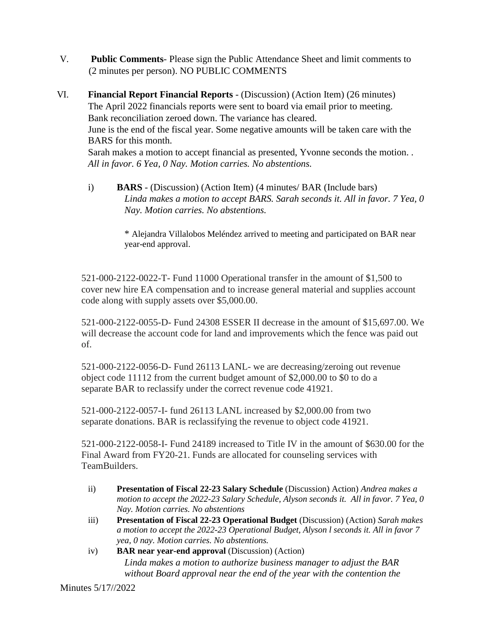- V. **Public Comments** Please sign the Public Attendance Sheet and limit comments to (2 minutes per person). NO PUBLIC COMMENTS
- VI. **Financial Report Financial Reports** (Discussion) (Action Item) (26 minutes) The April 2022 financials reports were sent to board via email prior to meeting. Bank reconciliation zeroed down. The variance has cleared. June is the end of the fiscal year. Some negative amounts will be taken care with the BARS for this month. Sarah makes a motion to accept financial as presented, Yvonne seconds the motion. *. All in favor. 6 Yea, 0 Nay. Motion carries. No abstentions.*
	- i) **BARS** (Discussion) (Action Item) (4 minutes/ BAR (Include bars) *Linda makes a motion to accept BARS. Sarah seconds it. All in favor. 7 Yea, 0 Nay. Motion carries. No abstentions.*

\* Alejandra Villalobos Meléndez arrived to meeting and participated on BAR near year-end approval.

521-000-2122-0022-T- Fund 11000 Operational transfer in the amount of \$1,500 to cover new hire EA compensation and to increase general material and supplies account code along with supply assets over \$5,000.00.

521-000-2122-0055-D- Fund 24308 ESSER II decrease in the amount of \$15,697.00. We will decrease the account code for land and improvements which the fence was paid out of.

521-000-2122-0056-D- Fund 26113 LANL- we are decreasing/zeroing out revenue object code 11112 from the current budget amount of \$2,000.00 to \$0 to do a separate BAR to reclassify under the correct revenue code 41921.

521-000-2122-0057-I- fund 26113 LANL increased by \$2,000.00 from two separate donations. BAR is reclassifying the revenue to object code 41921.

521-000-2122-0058-I- Fund 24189 increased to Title IV in the amount of \$630.00 for the Final Award from FY20-21. Funds are allocated for counseling services with TeamBuilders.

- ii) **Presentation of Fiscal 22-23 Salary Schedule** (Discussion) Action) *Andrea makes a motion to accept the 2022-23 Salary Schedule, Alyson seconds it. All in favor. 7 Yea, 0 Nay. Motion carries. No abstentions*
- iii) **Presentation of Fiscal 22-23 Operational Budget** (Discussion) (Action) *Sarah makes a motion to accept the 2022-23 Operational Budget, Alyson l seconds it. All in favor 7 yea, 0 nay. Motion carries. No abstentions.*
- iv) **BAR near year-end approval** (Discussion) (Action) *Linda makes a motion to authorize business manager to adjust the BAR without Board approval near the end of the year with the contention the*

Minutes 5/17//2022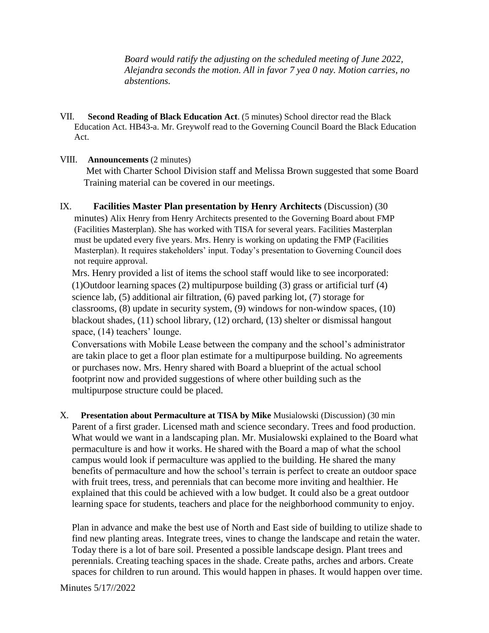*Board would ratify the adjusting on the scheduled meeting of June 2022, Alejandra seconds the motion. All in favor 7 yea 0 nay. Motion carries, no abstentions.* 

VII. **Second Reading of Black Education Act**. (5 minutes) School director read the Black Education Act. HB43-a. Mr. Greywolf read to the Governing Council Board the Black Education Act.

### VIII. **Announcements** (2 minutes)

 Met with Charter School Division staff and Melissa Brown suggested that some Board Training material can be covered in our meetings.

IX. **Facilities Master Plan presentation by Henry Architects** (Discussion) (30 minutes) Alix Henry from Henry Architects presented to the Governing Board about FMP (Facilities Masterplan). She has worked with TISA for several years. Facilities Masterplan must be updated every five years. Mrs. Henry is working on updating the FMP (Facilities Masterplan). It requires stakeholders' input. Today's presentation to Governing Council does not require approval.

Mrs. Henry provided a list of items the school staff would like to see incorporated: (1)Outdoor learning spaces (2) multipurpose building (3) grass or artificial turf (4) science lab, (5) additional air filtration, (6) paved parking lot, (7) storage for classrooms, (8) update in security system, (9) windows for non-window spaces, (10) blackout shades, (11) school library, (12) orchard, (13) shelter or dismissal hangout space, (14) teachers' lounge.

Conversations with Mobile Lease between the company and the school's administrator are takin place to get a floor plan estimate for a multipurpose building. No agreements or purchases now. Mrs. Henry shared with Board a blueprint of the actual school footprint now and provided suggestions of where other building such as the multipurpose structure could be placed.

X. **Presentation about Permaculture at TISA by Mike** Musialowski (Discussion) (30 min Parent of a first grader. Licensed math and science secondary. Trees and food production. What would we want in a landscaping plan. Mr. Musialowski explained to the Board what permaculture is and how it works. He shared with the Board a map of what the school campus would look if permaculture was applied to the building. He shared the many benefits of permaculture and how the school's terrain is perfect to create an outdoor space with fruit trees, tress, and perennials that can become more inviting and healthier. He explained that this could be achieved with a low budget. It could also be a great outdoor learning space for students, teachers and place for the neighborhood community to enjoy.

Plan in advance and make the best use of North and East side of building to utilize shade to find new planting areas. Integrate trees, vines to change the landscape and retain the water. Today there is a lot of bare soil. Presented a possible landscape design. Plant trees and perennials. Creating teaching spaces in the shade. Create paths, arches and arbors. Create spaces for children to run around. This would happen in phases. It would happen over time.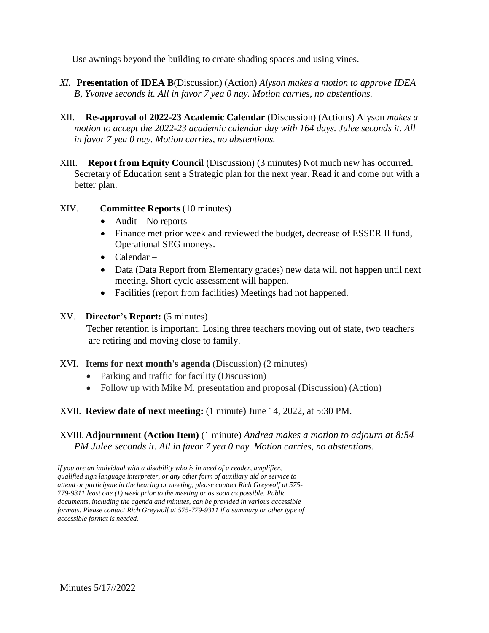Use awnings beyond the building to create shading spaces and using vines.

- *XI.* **Presentation of IDEA B**(Discussion) (Action) *Alyson makes a motion to approve IDEA B, Yvonve seconds it. All in favor 7 yea 0 nay. Motion carries, no abstentions.*
- XII. **Re-approval of 2022-23 Academic Calendar** (Discussion) (Actions) Alyson *makes a motion to accept the 2022-23 academic calendar day with 164 days. Julee seconds it. All in favor 7 yea 0 nay. Motion carries, no abstentions.*
- XIII. **Report from Equity Council** (Discussion) (3 minutes) Not much new has occurred. Secretary of Education sent a Strategic plan for the next year. Read it and come out with a better plan.
- XIV. **Committee Reports** (10 minutes)
	- $\bullet$  Audit No reports
	- Finance met prior week and reviewed the budget, decrease of ESSER II fund, Operational SEG moneys.
	- Calendar –
	- Data (Data Report from Elementary grades) new data will not happen until next meeting. Short cycle assessment will happen.
	- Facilities (report from facilities) Meetings had not happened.

### XV. **Director's Report:** (5 minutes)

 Techer retention is important. Losing three teachers moving out of state, two teachers are retiring and moving close to family.

### XVI. **Items for next month's agenda** (Discussion) (2 minutes)

- Parking and traffic for facility (Discussion)
- Follow up with Mike M. presentation and proposal (Discussion) (Action)

## XVII. **Review date of next meeting:** (1 minute) June 14, 2022, at 5:30 PM.

XVIII. **Adjournment (Action Item)** (1 minute) *Andrea makes a motion to adjourn at 8:54 PM Julee seconds it. All in favor 7 yea 0 nay. Motion carries, no abstentions.* 

*If you are an individual with a disability who is in need of a reader, amplifier, qualified sign language interpreter, or any other form of auxiliary aid or service to attend or participate in the hearing or meeting, please contact Rich Greywolf at 575- 779-9311 least one (1) week prior to the meeting or as soon as possible. Public documents, including the agenda and minutes, can be provided in various accessible formats. Please contact Rich Greywolf at 575-779-9311 if a summary or other type of accessible format is needed.*